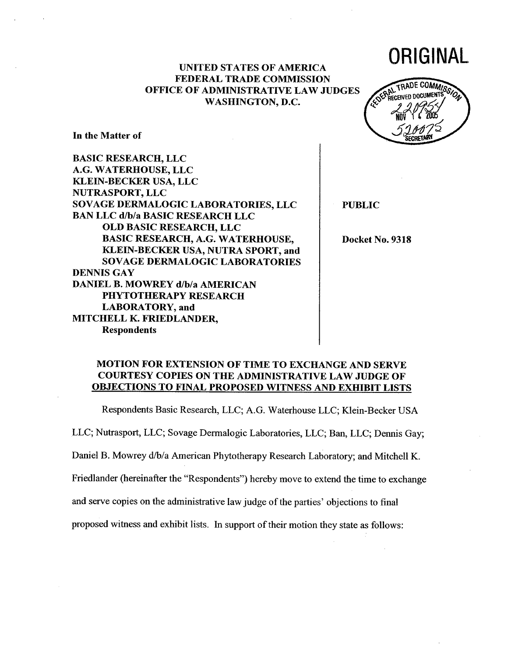## UNITED STATES OF AMERlCA FEDERAL TRADE COMMISSION OFFICE OF ADMINISTRATIVE LAW JUDGES WASHINGTON, D.C.



ORIGINAL

In the Matter of

BASIC RESEARCH, LLC A.G. WATERHOUSE, LLC KLEIN-BECKER USA, LLC NUTRASPORT, LLC SOVAGE DERMALOGIC LABORATORIES, LLC BAN LLC d/b/a BASIC RESEARCH LLC OLD BASIC RESEARCH, LLC BASIC RESEARCH, A.G. WATERHOUSE, KLEIN-BECKER USA, NUTRA SPORT, and SOVAGE DERMALOGIC LABORATORIES DENNIS GAY DANIEL B. MOWREY d/b/a AMERICAN PHYTOTHERAPY RESEARCH LABORATORY, and MITCHELL K. FRIEDLANDER, Respondents

PUBLIC

Docket No. 9318

## MOTION FOR EXTENSION OF TIME TO EXCHANGE AND SERVE COURTESY COPIES ON THE ADMINISTRATIVE LAW JUDGE OF OBJECTIONS TO FINAL PROPOSED WITNESS AND EXHIBIT LISTS

Respondents Basic Research, LLC; A.G. Waterhouse LLC; Klein-Becker USA

LLC; Nutrasport, LLC; Sovage Dermalogic Laboratories, LLC; Ban, LLC; Dennis Gay;

Daniel B. Mowrey d/b/a American Phytotherapy Research Laboratory; and Mitchell K.

Friedlander (hereinafter the "Respondents") hereby move to extend the time to exchange

and serve copies on the administrative law judge of the parties' objections to final

proposed witness and exhibit lists. In support of their motion they state as follows: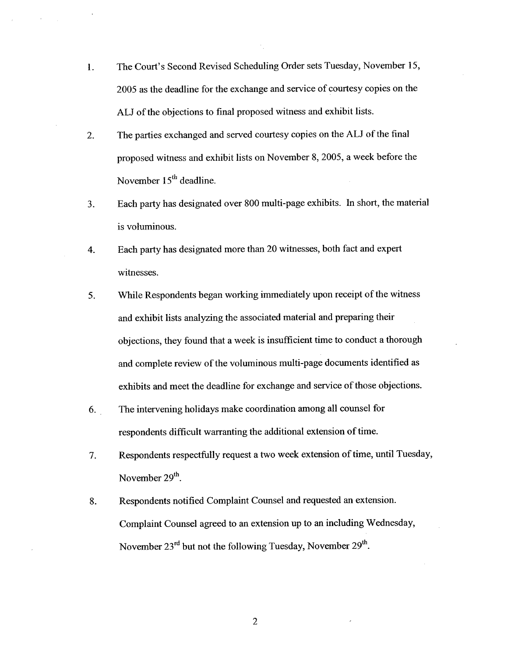- 1. The Court's Second Revised Scheduling Order sets Tuesday, November 15, 2005 as the deadline for the exchange and service of courtesy copies on the ALl of the objections to final proposed witness and exhibit lists.
- 2. The parties exchanged and served courtesy copies on the ALl of the final proposed witness and exhibit lists on November 8,2005, a week before the November 15<sup>th</sup> deadline.
- 3. Each party has designated over 800 multi-page exhibits. In short, the material is voluminous.
- 4. Each party has designated more than 20 witnesses, both fact and expert witnesses.
- 5. While Respondents began working immediately upon receipt of the witness and exhibit lists analyzing the associated material and preparng their objections, they found that a week is insuffcient time to conduct a thorough and complete review of the voluminous multi-page documents identified as exhibits and meet the deadline for exchange and service of those objections.
- 6. The intervening holidays make coordination among all counsel for respondents diffcult warranting the additional extension of time.
- 7. Respondents respectfully request a two week extension of time, until Tuesday, November 29<sup>th</sup>.
- 8. Respondents notified Complaint Counsel and requested an extension. Complaint Counsel agreed to an extension up to an including Wednesday, November 23<sup>rd</sup> but not the following Tuesday, November 29<sup>th</sup>.

2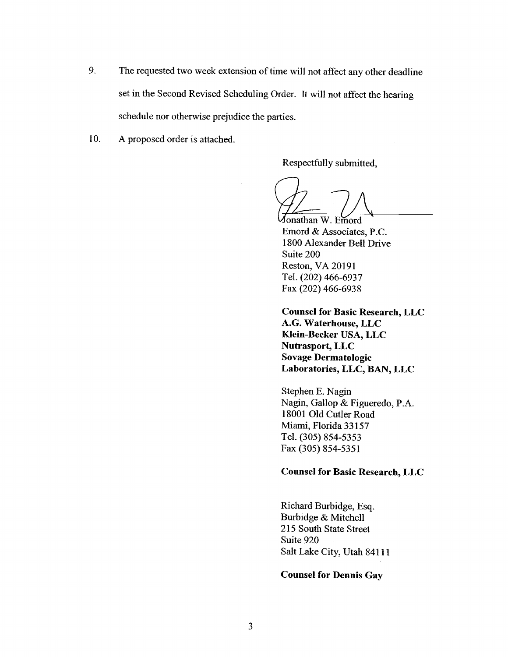- 9. The requested two week extension of time will not affect any other deadline set in the Second Revised Scheduling Order. It will not affect the hearing schedule nor otherwise prejudice the paries.
- 10. A proposed order is attached.

Respectfully submitted,

Jonathan W. Emord<br>Emord & Associates, P.C. 1800 Alexander Bell Drive Suite 200 Reston, VA 20191 TeL. (202) 466-6937 Fax (202) 466-6938

Counsel for Basic Research, LLC A.G. Waterhouse, LLC Klein-Becker USA, LLC Nutrasport, LLC Sovage Dermatologic Laboratories, LLC, BAN, LLC

Stephen E. Nagin Nagin, Gallop & Figueredo, P.A. 18001 Old Cutler Road Miami, Florida 33157 TeL. (305) 854-5353 Fax (305) 854-5351

#### Counsel for Basic Research, LLC

Richard Burbidge, Esq. Burbidge & Mitchell 215 South State Street Suite 920 Salt Lake City, Utah 84111

## Counsel for Dennis Gay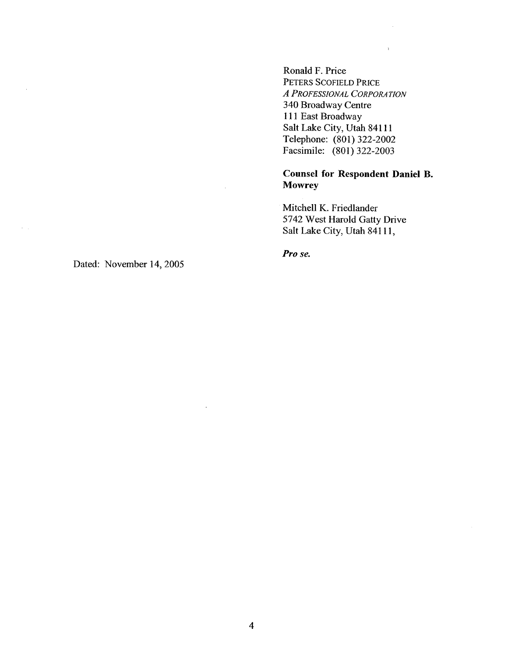Ronald F. Price PETERS SCOFIELD PRICE A PROFESSIONAL CORPORATION 340 Broadway Centre 111 East Broadway Salt Lake City, Utah 84111 Telephone: (80l) 322-2002 Facsimile: (801) 322-2003

Counsel for Respondent Daniel B. **Mowrey** 

 $\bar{\chi}$ 

Mitchell K. Friedlander 5742 West Harold Gatty Drive Salt Lake City, Utah 84111,

Pro se.

Dated: November 14, 2005

 $\alpha$ 

 $\epsilon = 1$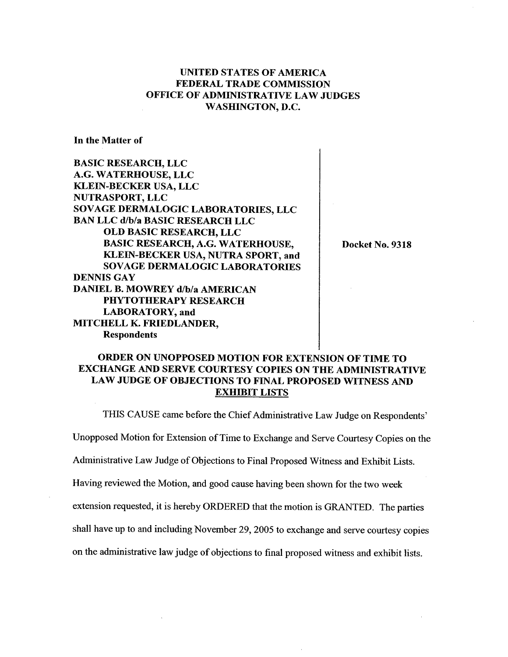# UNITED STATES OF AMERICA FEDERAL TRADE COMMISSION OFFICE OF ADMINISTRATIVE LAW JUDGES WASHINGTON, D.C.

In the Matter of

BASIC RESEARCH, LLC A.G. WATERHOUSE, LLC KLEIN-BECKER USA, LLC NUTRASPORT, LLC SOV AGE DERMALOGIC LABORATORIES, LLC BAN LLC d/b/a BASIC RESEARCH LLC OLD BASIC RESEARCH, LLC BASIC RESEARCH, A.G. WATERHOUSE, KLEIN-BECKER USA, NUTRA SPORT, and SOVAGE DERMALOGIC LABORATORIES DENNIS GAY DANIEL B. MOWREY d/b/a AMERICAN PHYTOTHERAPY RESEARCH LABORATORY, and MITCHELL K. FRIEDLANDER, Respondents

Docket No. 9318

# ORDER ON UNOPPOSED MOTION FOR EXTENSION OF TIME TO EXCHANGE AND SERVE COURTESY COPIES ON THE ADMINISTRATIVE LAW JUDGE OF OBJECTIONS TO FINAL PROPOSED WITNESS AND EXHIBIT LISTS

THIS CAUSE came before the Chief Administrative Law Judge on Respondents'

Unopposed Motion for Extension of Time to Exchange and Serve Courtesy Copies on the

Administrative Law Judge of Objections to Final Proposed Witness and Exhibit Lists.

Having reviewed the Motion, and good cause having been shown for the two week

extension requested, it is hereby ORDERED that the motion is GRANTED. The parties

shall have up to and including November 29, 2005 to exchange and serve courtesy copies

on the administrative law judge of objections to final proposed witness and exhibit lists.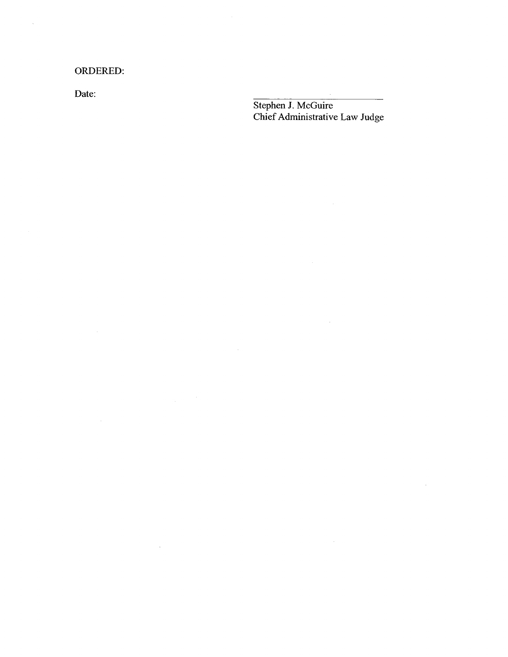ORDERED:

 $\label{eq:2.1} \frac{1}{\sqrt{2\pi}}\frac{1}{\sqrt{2\pi}}\frac{1}{\sqrt{2\pi}}\frac{1}{\sqrt{2\pi}}\frac{1}{\sqrt{2\pi}}\frac{1}{\sqrt{2\pi}}\frac{1}{\sqrt{2\pi}}\frac{1}{\sqrt{2\pi}}\frac{1}{\sqrt{2\pi}}\frac{1}{\sqrt{2\pi}}\frac{1}{\sqrt{2\pi}}\frac{1}{\sqrt{2\pi}}\frac{1}{\sqrt{2\pi}}\frac{1}{\sqrt{2\pi}}\frac{1}{\sqrt{2\pi}}\frac{1}{\sqrt{2\pi}}\frac{1}{\sqrt{2\pi}}\frac{1}{\sqrt$ 

 $\sim 10^{11}$  km s  $^{-1}$ 

Date:

 $\bar{z}$ 

Stephen J. McGuire Chief Administrative Law Judge

 $\sim$   $\sim$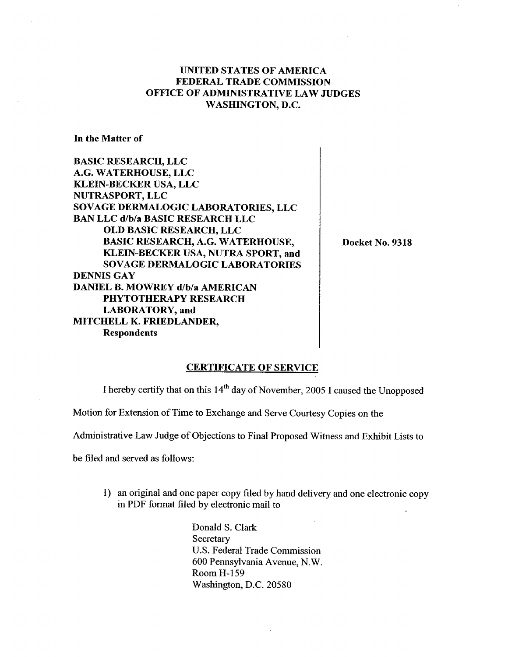# UNITED STATES OF AMERlCA FEDERAL TRADE COMMISSION OFFICE OF ADMINISTRATIVE LAW JUDGES WASHINGTON, D.C.

In the Matter of

BASIC RESEARCH, LLC A.G. WATERHOUSE, LLC KLEIN-BECKER USA, LLC NUTRASPORT, LLC SOVAGE DERMALOGIC LABORATORIES, LLC BAN LLC d/b/a BASIC RESEARCH LLC OLD BASIC RESEARCH, LLC BASIC RESEARCH, A.G. WATERHOUSE, KLEIN-BECKER USA, NUTRA SPORT, and SOVAGE DERMALOGIC LABORATORIES DENNIS GAY DANIEL B. MOWREY d/b/a AMERICAN PHYTOTHERAPY RESEARCH LABORATORY, and MITCHELL K. FRlEDLANDER, Respondents

Docket No. 9318

#### CERTIFICATE OF SERVICE

I hereby certify that on this 14th day of November, 2005 I caused the Unopposed

Motion for Extension of Time to Exchange and Serve Courtesy Copies on the

Administrative Law Judge of Objections to Final Proposed Witness and Exhibit Lists to

be filed and served as follows:

1) an original and one paper copy filed by hand delivery and one electronic copy in PDF format filed by electronic mail to

> Donald S. Clark **Secretary** U.S. Federal Trade Commission 600 Pennsylvania Avenue, N.W. Room H-159 Washington, D.C. 20580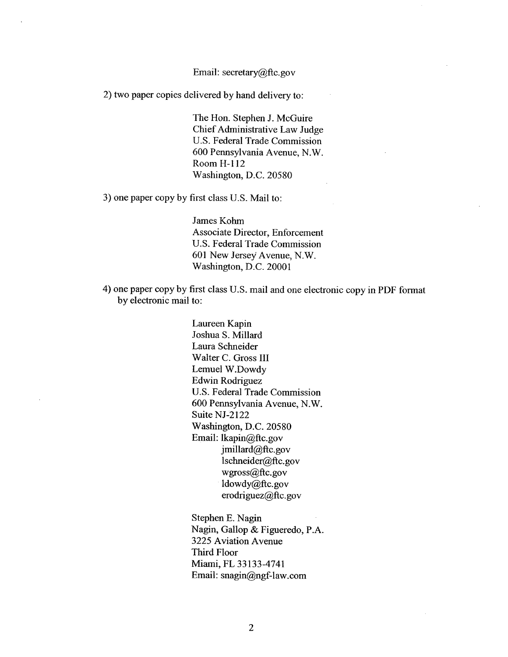#### Email: secretary@ftc.gov

2) two paper copies delivered by hand delivery to:

The Hon. Stephen J. McGuire Chief Administrative Law Judge U.S. Federal Trade Commission 600 Pennsylvania Avenue, N.W. Room H-112 Washington, D.C. 20580

3) one paper copy by first class U.S. Mail to:

James Kohm Associate Director, Enforcement U.S. Federal Trade Commission 601 New Jersey Avenue, N.W. Washington, D.C. 20001

4) one paper copy by first class U.S. mail and one electronic copy in PDF format by electronic mail to:

> Laureen Kapin Joshua S. Milard Laura Schneider Walter C. Gross III Lemuel W.Dowdy Edwin Rodriguez U.S. Federal Trade Commission 600 Pennsylvania Avenue, N.W. Suite NJ-2122 Washington, D.C. 20580 Email: lkapin@ftc.gov  $j$ millard $@$ ftc.gov lschneider@ftc.gov wgross@ftc.gov ldowdy@ftc.gov erodriguez $@$ ftc.gov

Stephen E. Nagin Nagin, Gallop & Figueredo, P.A. 3225 Aviation Avenue Third Floor Miami, FL 33133-4741 Email: snagin@ngf-law.com